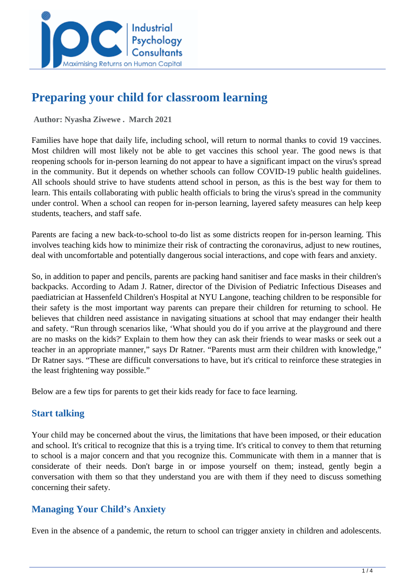

# **Preparing your child for classroom learning**

 **Author: Nyasha Ziwewe . March 2021** 

Families have hope that daily life, including school, will return to normal thanks to covid 19 vaccines. Most children will most likely not be able to get vaccines this school year. The good news is that reopening schools for in-person learning do not appear to have a significant impact on the virus's spread in the community. But it depends on whether schools can follow COVID-19 public health guidelines. All schools should strive to have students attend school in person, as this is the best way for them to learn. This entails collaborating with public health officials to bring the virus's spread in the community under control. When a school can reopen for in-person learning, layered safety measures can help keep students, teachers, and staff safe.

Parents are facing a new back-to-school to-do list as some districts reopen for in-person learning. This involves teaching kids how to minimize their risk of contracting the coronavirus, adjust to new routines, deal with uncomfortable and potentially dangerous social interactions, and cope with fears and anxiety.

So, in addition to paper and pencils, parents are packing hand sanitiser and face masks in their children's backpacks. According to Adam J. Ratner, director of the Division of Pediatric Infectious Diseases and paediatrician at Hassenfeld Children's Hospital at NYU Langone, teaching children to be responsible for their safety is the most important way parents can prepare their children for returning to school. He believes that children need assistance in navigating situations at school that may endanger their health and safety. "Run through scenarios like, 'What should you do if you arrive at the playground and there are no masks on the kids?' Explain to them how they can ask their friends to wear masks or seek out a teacher in an appropriate manner," says Dr Ratner. "Parents must arm their children with knowledge," Dr Ratner says. "These are difficult conversations to have, but it's critical to reinforce these strategies in the least frightening way possible."

Below are a few tips for parents to get their kids ready for face to face learning.

#### **Start talking**

Your child may be concerned about the virus, the limitations that have been imposed, or their education and school. It's critical to recognize that this is a trying time. It's critical to convey to them that returning to school is a major concern and that you recognize this. Communicate with them in a manner that is considerate of their needs. Don't barge in or impose yourself on them; instead, gently begin a conversation with them so that they understand you are with them if they need to discuss something concerning their safety.

### **Managing Your Child's Anxiety**

Even in the absence of a pandemic, the return to school can trigger anxiety in children and adolescents.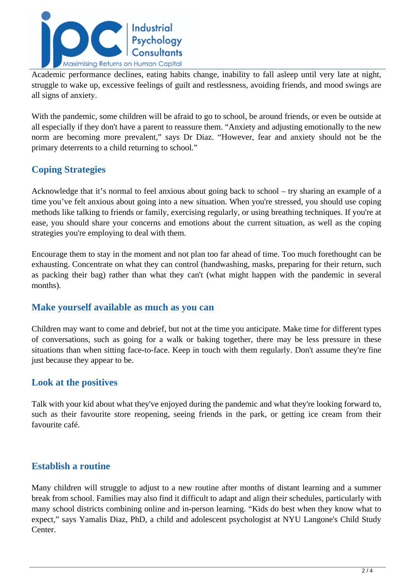

Academic performance declines, eating habits change, inability to fall asleep until very late at night, struggle to wake up, excessive feelings of guilt and restlessness, avoiding friends, and mood swings are all signs of anxiety.

With the pandemic, some children will be afraid to go to school, be around friends, or even be outside at all especially if they don't have a parent to reassure them. "Anxiety and adjusting emotionally to the new norm are becoming more prevalent," says Dr Diaz. "However, fear and anxiety should not be the primary deterrents to a child returning to school."

## **Coping Strategies**

Acknowledge that it's normal to feel anxious about going back to school – try sharing an example of a time you've felt anxious about going into a new situation. When you're stressed, you should use coping methods like talking to friends or family, exercising regularly, or using breathing techniques. If you're at ease, you should share your concerns and emotions about the current situation, as well as the coping strategies you're employing to deal with them.

Encourage them to stay in the moment and not plan too far ahead of time. Too much forethought can be exhausting. Concentrate on what they can control (handwashing, masks, preparing for their return, such as packing their bag) rather than what they can't (what might happen with the pandemic in several months).

#### **Make yourself available as much as you can**

Children may want to come and debrief, but not at the time you anticipate. Make time for different types of conversations, such as going for a walk or baking together, there may be less pressure in these situations than when sitting face-to-face. Keep in touch with them regularly. Don't assume they're fine just because they appear to be.

#### **Look at the positives**

Talk with your kid about what they've enjoyed during the pandemic and what they're looking forward to, such as their favourite store reopening, seeing friends in the park, or getting ice cream from their favourite café.

#### **Establish a routine**

Many children will struggle to adjust to a new routine after months of distant learning and a summer break from school. Families may also find it difficult to adapt and align their schedules, particularly with many school districts combining online and in-person learning. "Kids do best when they know what to expect," says Yamalis Diaz, PhD, a child and adolescent psychologist at NYU Langone's Child Study Center.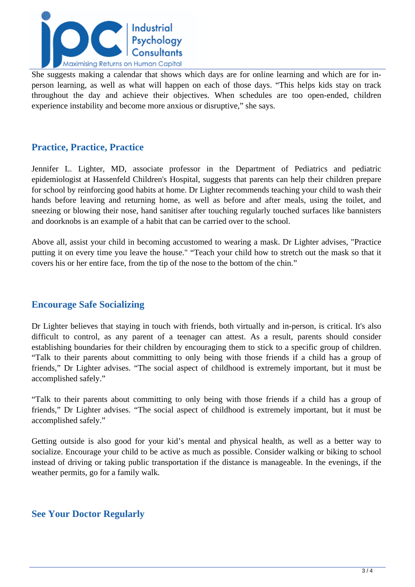

She suggests making a calendar that shows which days are for online learning and which are for inperson learning, as well as what will happen on each of those days. "This helps kids stay on track throughout the day and achieve their objectives. When schedules are too open-ended, children experience instability and become more anxious or disruptive," she says.

#### **Practice, Practice, Practice**

Jennifer L. Lighter, MD, associate professor in the Department of Pediatrics and pediatric epidemiologist at Hassenfeld Children's Hospital, suggests that parents can help their children prepare for school by reinforcing good habits at home. Dr Lighter recommends teaching your child to wash their hands before leaving and returning home, as well as before and after meals, using the toilet, and sneezing or blowing their nose, hand sanitiser after touching regularly touched surfaces like bannisters and doorknobs is an example of a habit that can be carried over to the school.

Above all, assist your child in becoming accustomed to wearing a mask. Dr Lighter advises, "Practice putting it on every time you leave the house." "Teach your child how to stretch out the mask so that it covers his or her entire face, from the tip of the nose to the bottom of the chin."

#### **Encourage Safe Socializing**

Dr Lighter believes that staying in touch with friends, both virtually and in-person, is critical. It's also difficult to control, as any parent of a teenager can attest. As a result, parents should consider establishing boundaries for their children by encouraging them to stick to a specific group of children. "Talk to their parents about committing to only being with those friends if a child has a group of friends," Dr Lighter advises. "The social aspect of childhood is extremely important, but it must be accomplished safely."

"Talk to their parents about committing to only being with those friends if a child has a group of friends," Dr Lighter advises. "The social aspect of childhood is extremely important, but it must be accomplished safely."

Getting outside is also good for your kid's mental and physical health, as well as a better way to socialize. Encourage your child to be active as much as possible. Consider walking or biking to school instead of driving or taking public transportation if the distance is manageable. In the evenings, if the weather permits, go for a family walk.

#### **See Your Doctor Regularly**